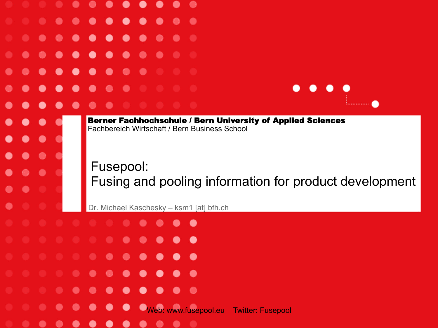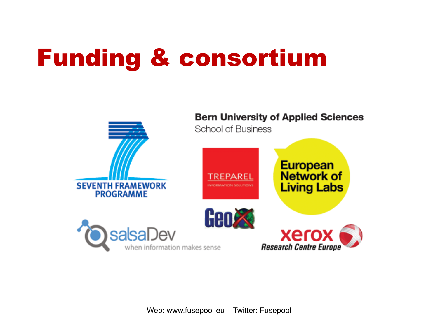#### Funding & consortium



Web: www.fusepool.eu Twitter: Fusepool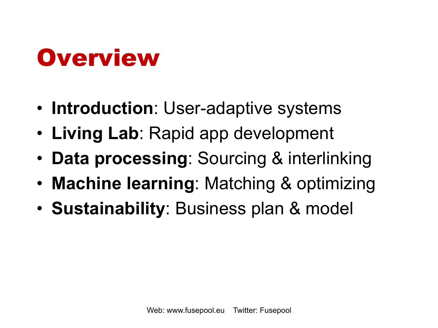#### Overview

- **Introduction**: User-adaptive systems
- **Living Lab**: Rapid app development
- **Data processing**: Sourcing & interlinking
- **Machine learning**: Matching & optimizing
- **Sustainability**: Business plan & model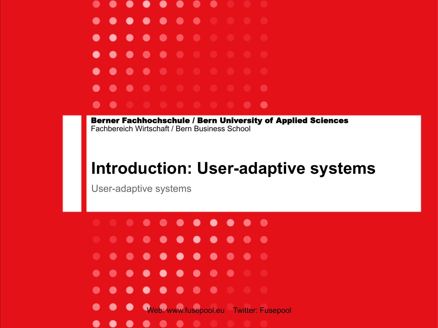

#### **Introduction: User-adaptive systems**

User-adaptive systems

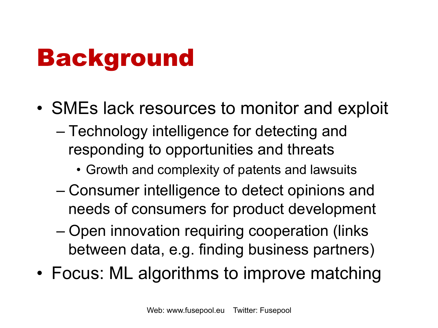#### Background

- SMEs lack resources to monitor and exploit
	- Technology intelligence for detecting and responding to opportunities and threats
		- Growth and complexity of patents and lawsuits
	- Consumer intelligence to detect opinions and needs of consumers for product development
	- Open innovation requiring cooperation (links between data, e.g. finding business partners)
- Focus: ML algorithms to improve matching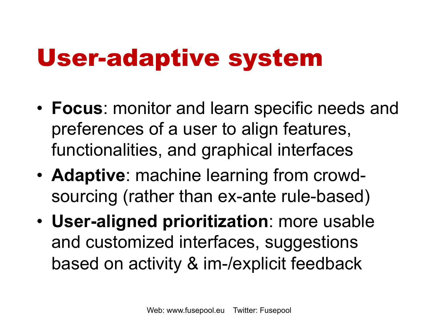### User-adaptive system

- **Focus**: monitor and learn specific needs and preferences of a user to align features, functionalities, and graphical interfaces
- **Adaptive**: machine learning from crowdsourcing (rather than ex-ante rule-based)
- **User-aligned prioritization**: more usable and customized interfaces, suggestions based on activity & im-/explicit feedback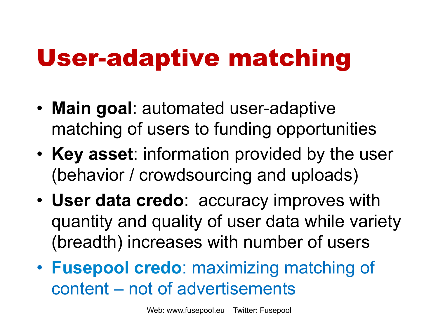#### User-adaptive matching

- **Main goal**: automated user-adaptive matching of users to funding opportunities
- **Key asset**: information provided by the user (behavior / crowdsourcing and uploads)
- **User data credo**: accuracy improves with quantity and quality of user data while variety (breadth) increases with number of users
- **Fusepool credo**: maximizing matching of content – not of advertisements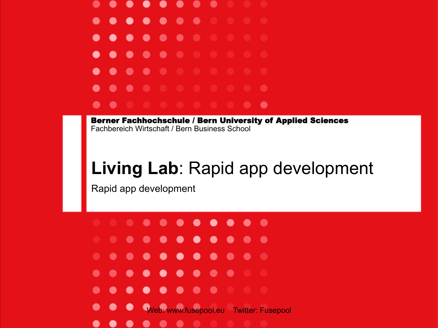

#### **Living Lab**: Rapid app development

Rapid app development

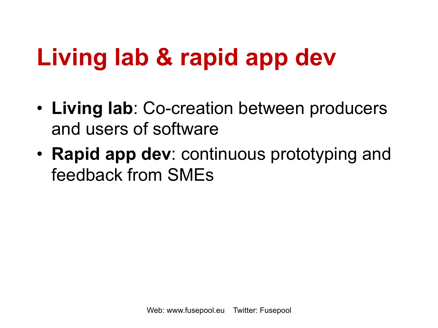### **Living lab & rapid app dev**

- **Living lab**: Co-creation between producers and users of software
- **Rapid app dev**: continuous prototyping and feedback from SMEs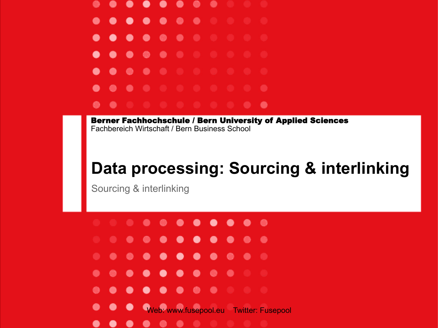

#### **Data processing: Sourcing & interlinking**

Sourcing & interlinking

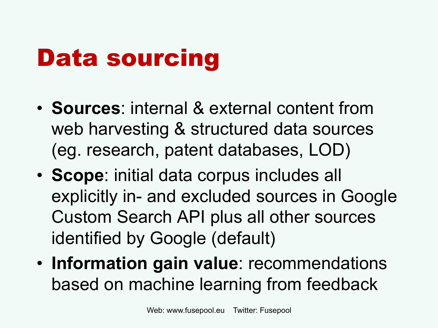# Data sourcing

- **Sources**: internal & external content from web harvesting & structured data sources (eg. research, patent databases, LOD)
- **Scope**: initial data corpus includes all explicitly in- and excluded sources in Google Custom Search API plus all other sources identified by Google (default)
- **Information gain value**: recommendations based on machine learning from feedback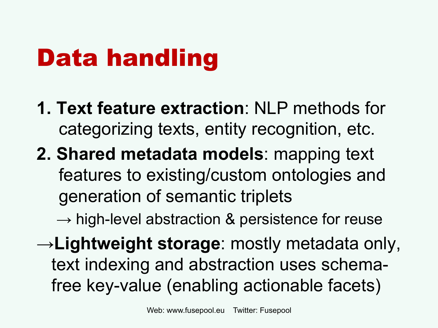# Data handling

- **1. Text feature extraction**: NLP methods for categorizing texts, entity recognition, etc.
- **2. Shared metadata models**: mapping text features to existing/custom ontologies and generation of semantic triplets

 $\rightarrow$  high-level abstraction & persistence for reuse

→**Lightweight storage**: mostly metadata only, text indexing and abstraction uses schemafree key-value (enabling actionable facets)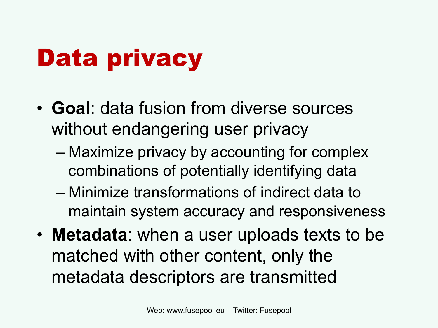# Data privacy

- **Goal**: data fusion from diverse sources without endangering user privacy
	- Maximize privacy by accounting for complex combinations of potentially identifying data
	- Minimize transformations of indirect data to maintain system accuracy and responsiveness
- **Metadata**: when a user uploads texts to be matched with other content, only the metadata descriptors are transmitted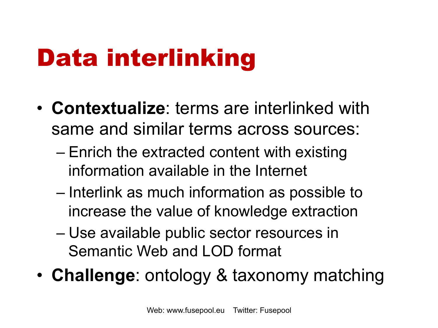# Data interlinking

- **Contextualize**: terms are interlinked with same and similar terms across sources:
	- Enrich the extracted content with existing information available in the Internet
	- Interlink as much information as possible to increase the value of knowledge extraction
	- Use available public sector resources in Semantic Web and LOD format
- **Challenge**: ontology & taxonomy matching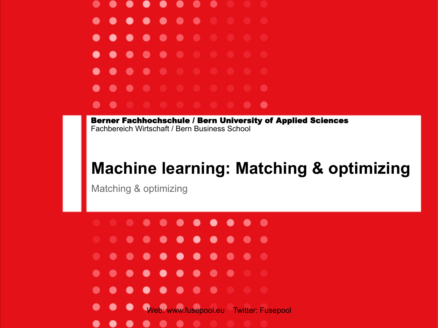

#### **Machine learning: Matching & optimizing**

Matching & optimizing

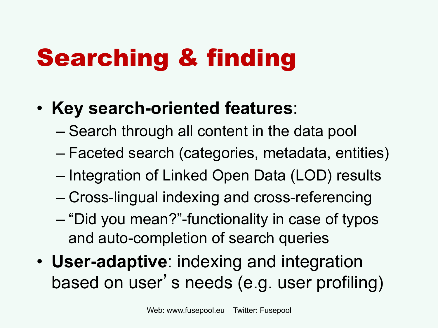# Searching & finding

#### • **Key search-oriented features**:

- Search through all content in the data pool
- Faceted search (categories, metadata, entities)
- Integration of Linked Open Data (LOD) results
- Cross-lingual indexing and cross-referencing
- "Did you mean?"-functionality in case of typos and auto-completion of search queries
- **User-adaptive**: indexing and integration based on user's needs (e.g. user profiling)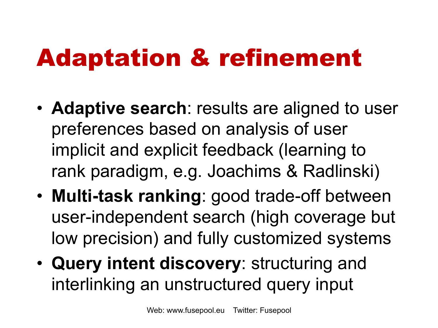## Adaptation & refinement

- **Adaptive search**: results are aligned to user preferences based on analysis of user implicit and explicit feedback (learning to rank paradigm, e.g. Joachims & Radlinski)
- **Multi-task ranking**: good trade-off between user-independent search (high coverage but low precision) and fully customized systems
- **Query intent discovery**: structuring and interlinking an unstructured query input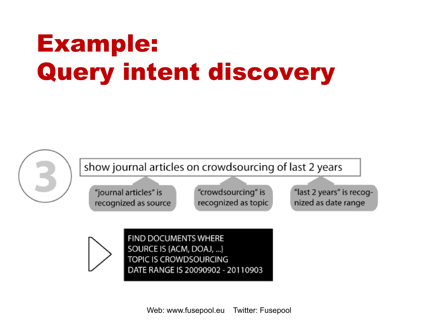# Example: Query intent discovery

show journal articles on crowdsourcing of last 2 years

"journal articles" is recognized as source

"crowdsourcing" is recognized as topic "last 2 years" is recognized as date range



**FIND DOCUMENTS WHERE** SOURCE IS {ACM, DOAJ, ...} TOPIC IS CROWDSOURCING DATE RANGE IS 20090902 - 20110903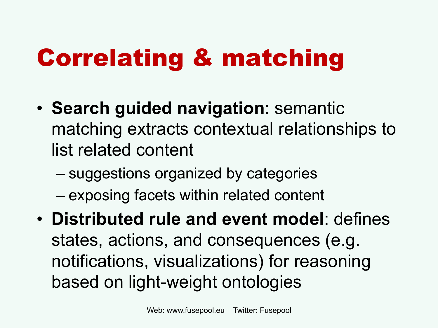# Correlating & matching

- **Search guided navigation**: semantic matching extracts contextual relationships to list related content
	- suggestions organized by categories
	- exposing facets within related content
- **Distributed rule and event model**: defines states, actions, and consequences (e.g. notifications, visualizations) for reasoning based on light-weight ontologies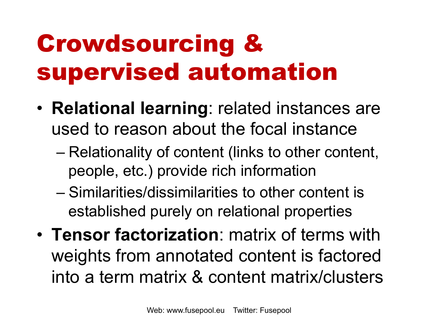# Crowdsourcing & supervised automation

- **Relational learning**: related instances are used to reason about the focal instance
	- Relationality of content (links to other content, people, etc.) provide rich information
	- Similarities/dissimilarities to other content is established purely on relational properties
- **Tensor factorization**: matrix of terms with weights from annotated content is factored into a term matrix & content matrix/clusters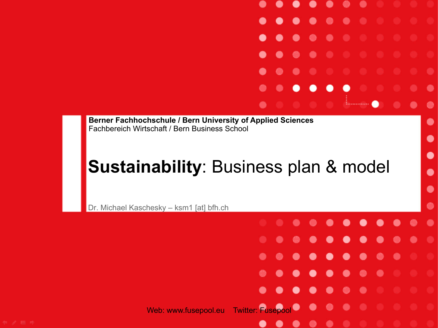#### **Sustainability**: Business plan & model

**A** 

 $\bullet$ 

- 0

- 0

 $\bullet$ 

۰

 $\bullet$ 

. . . . . . .

٠

.

 $\bullet$ 

.

 $\bullet$ 

. .

**CO** 

 $\bullet\bullet$ 

٠

 $\bullet$ 

 $\bullet$ 

 $\bullet$ 

 $\bullet$ 

 $\bullet$ 

 $\bullet$ 

۸

Dr. Michael Kaschesky – ksm1 [at] bfh.ch

Web: www.fusepool.eu Twitter: Fusepool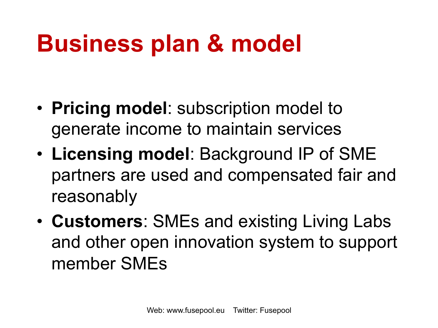### **Business plan & model**

- **Pricing model**: subscription model to generate income to maintain services
- **Licensing model**: Background IP of SME partners are used and compensated fair and reasonably
- **Customers**: SMEs and existing Living Labs and other open innovation system to support member SMEs